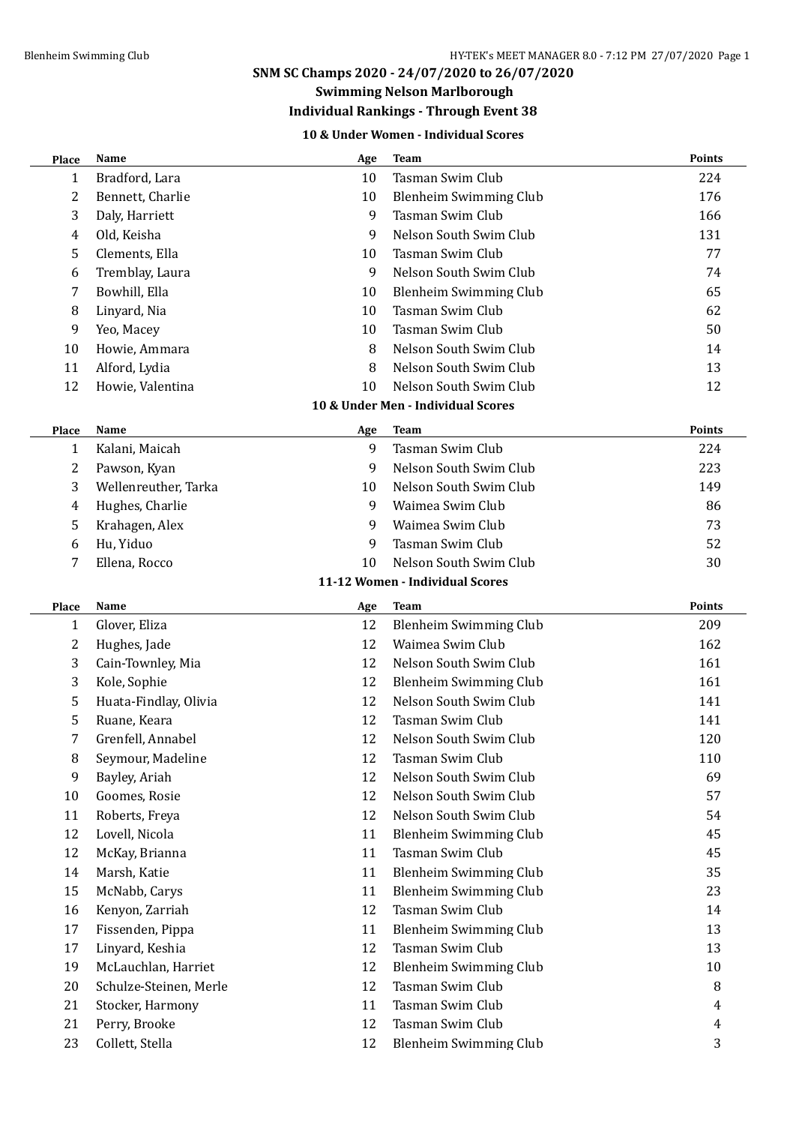### **Swimming Nelson Marlborough**

# **Individual Rankings - Through Event 38**

## **10 & Under Women - Individual Scores**

| <b>Place</b> | Name                   | Age | <b>Team</b>                        | <b>Points</b> |
|--------------|------------------------|-----|------------------------------------|---------------|
| 1            | Bradford, Lara         | 10  | <b>Tasman Swim Club</b>            | 224           |
| 2            | Bennett, Charlie       | 10  | <b>Blenheim Swimming Club</b>      | 176           |
| 3            | Daly, Harriett         | 9   | <b>Tasman Swim Club</b>            | 166           |
| 4            | Old, Keisha            | 9   | Nelson South Swim Club             | 131           |
| 5            | Clements, Ella         | 10  | <b>Tasman Swim Club</b>            | 77            |
| 6            | Tremblay, Laura        | 9   | Nelson South Swim Club             | 74            |
| 7            | Bowhill, Ella          | 10  | Blenheim Swimming Club             | 65            |
| 8            | Linyard, Nia           | 10  | Tasman Swim Club                   | 62            |
| 9            | Yeo, Macey             | 10  | <b>Tasman Swim Club</b>            | 50            |
| 10           | Howie, Ammara          | 8   | Nelson South Swim Club             | 14            |
| 11           | Alford, Lydia          | 8   | Nelson South Swim Club             | 13            |
| 12           | Howie, Valentina       | 10  | Nelson South Swim Club             | 12            |
|              |                        |     | 10 & Under Men - Individual Scores |               |
| Place        | <b>Name</b>            | Age | <b>Team</b>                        | <b>Points</b> |
| 1            | Kalani, Maicah         | 9   | <b>Tasman Swim Club</b>            | 224           |
| 2            | Pawson, Kyan           | 9   | Nelson South Swim Club             | 223           |
| 3            | Wellenreuther, Tarka   | 10  | Nelson South Swim Club             | 149           |
| 4            | Hughes, Charlie        | 9   | Waimea Swim Club                   | 86            |
| 5            | Krahagen, Alex         | 9   | Waimea Swim Club                   | 73            |
| 6            | Hu, Yiduo              | 9   | Tasman Swim Club                   | 52            |
| 7            | Ellena, Rocco          | 10  | Nelson South Swim Club             | 30            |
|              |                        |     | 11-12 Women - Individual Scores    |               |
| Place        | Name                   | Age | <b>Team</b>                        | <b>Points</b> |
| 1            | Glover, Eliza          | 12  | Blenheim Swimming Club             | 209           |
| 2            | Hughes, Jade           | 12  | Waimea Swim Club                   | 162           |
| 3            | Cain-Townley, Mia      | 12  | Nelson South Swim Club             | 161           |
| 3            | Kole, Sophie           | 12  | <b>Blenheim Swimming Club</b>      | 161           |
| 5            | Huata-Findlay, Olivia  | 12  | Nelson South Swim Club             | 141           |
| 5            | Ruane, Keara           | 12  | <b>Tasman Swim Club</b>            | 141           |
| 7            | Grenfell, Annabel      | 12  | Nelson South Swim Club             | 120           |
| 8            | Seymour, Madeline      | 12  | Tasman Swim Club                   | 110           |
| 9            | Bayley, Ariah          | 12  | Nelson South Swim Club             | 69            |
| 10           | Goomes, Rosie          | 12  | Nelson South Swim Club             | 57            |
| 11           | Roberts, Freya         | 12  | Nelson South Swim Club             | 54            |
| 12           | Lovell, Nicola         | 11  | Blenheim Swimming Club             | 45            |
| 12           | McKay, Brianna         | 11  | Tasman Swim Club                   | 45            |
| 14           | Marsh, Katie           | 11  | Blenheim Swimming Club             | 35            |
| 15           | McNabb, Carys          | 11  | Blenheim Swimming Club             | 23            |
| 16           | Kenyon, Zarriah        | 12  | Tasman Swim Club                   | 14            |
| 17           | Fissenden, Pippa       | 11  | <b>Blenheim Swimming Club</b>      | 13            |
| 17           | Linyard, Keshia        | 12  | Tasman Swim Club                   | 13            |
| 19           | McLauchlan, Harriet    | 12  | Blenheim Swimming Club             | 10            |
| 20           | Schulze-Steinen, Merle | 12  | Tasman Swim Club                   | 8             |
| 21           | Stocker, Harmony       | 11  | Tasman Swim Club                   | 4             |
| 21           | Perry, Brooke          | 12  | Tasman Swim Club                   | 4             |
| 23           | Collett, Stella        | 12  | Blenheim Swimming Club             | 3             |
|              |                        |     |                                    |               |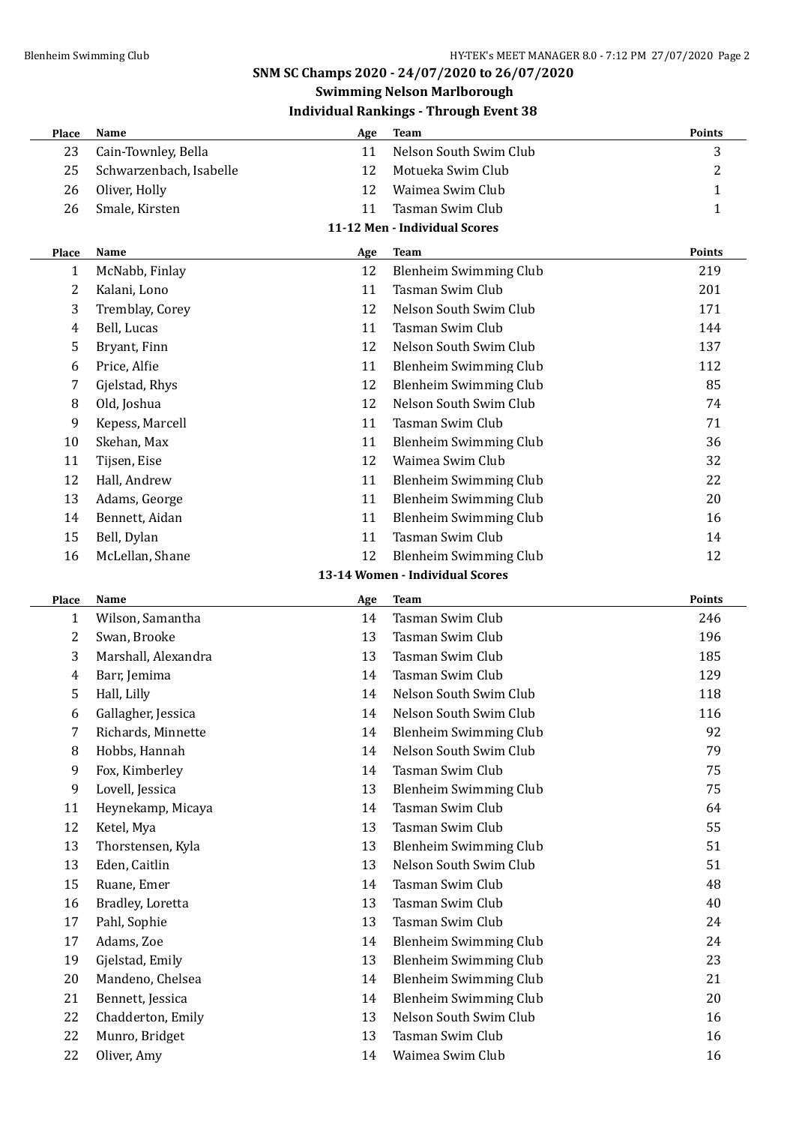#### **Swimming Nelson Marlborough Individual Rankings - Through Event 38**

| murruudi Rainvilgs – Till ough Event 50 |                         |     |                        |        |
|-----------------------------------------|-------------------------|-----|------------------------|--------|
| Place                                   | <b>Name</b>             | Age | Team                   | Points |
| 23                                      | Cain-Townley, Bella     |     | Nelson South Swim Club | 3      |
| 25                                      | Schwarzenbach, Isabelle | 12. | Motueka Swim Club      | 2      |
| 26                                      | Oliver, Holly           | 12  | Waimea Swim Club       |        |
| 26                                      | Smale, Kirsten          |     | Tasman Swim Club       |        |

#### **11-12 Men - Individual Scores**

| Place | Name            | Age | Team                   | <b>Points</b> |
|-------|-----------------|-----|------------------------|---------------|
| 1     | McNabb, Finlay  | 12  | Blenheim Swimming Club | 219           |
| 2     | Kalani, Lono    | 11  | Tasman Swim Club       | 201           |
| 3     | Tremblay, Corey | 12  | Nelson South Swim Club | 171           |
| 4     | Bell, Lucas     | 11  | Tasman Swim Club       | 144           |
| 5.    | Bryant, Finn    | 12  | Nelson South Swim Club | 137           |
| 6     | Price, Alfie    | 11  | Blenheim Swimming Club | 112           |
| 7     | Gjelstad, Rhys  | 12  | Blenheim Swimming Club | 85            |
| 8     | Old, Joshua     | 12  | Nelson South Swim Club | 74            |
| 9     | Kepess, Marcell | 11  | Tasman Swim Club       | 71            |
| 10    | Skehan, Max     | 11  | Blenheim Swimming Club | 36            |
| 11    | Tijsen, Eise    | 12  | Waimea Swim Club       | 32            |
| 12    | Hall, Andrew    | 11  | Blenheim Swimming Club | 22            |
| 13    | Adams, George   | 11  | Blenheim Swimming Club | 20            |
| 14    | Bennett, Aidan  | 11  | Blenheim Swimming Club | 16            |
| 15    | Bell, Dylan     | 11  | Tasman Swim Club       | 14            |
| 16    | McLellan, Shane | 12  | Blenheim Swimming Club | 12            |

#### **13-14 Women - Individual Scores**

| Place          | <b>Name</b>         | Age | <b>Team</b>                   | <b>Points</b> |
|----------------|---------------------|-----|-------------------------------|---------------|
| $\mathbf{1}$   | Wilson, Samantha    | 14  | Tasman Swim Club              | 246           |
| 2              | Swan, Brooke        | 13  | Tasman Swim Club              | 196           |
| 3              | Marshall, Alexandra | 13  | Tasman Swim Club              | 185           |
| $\overline{4}$ | Barr, Jemima        | 14  | Tasman Swim Club              | 129           |
| 5              | Hall, Lilly         | 14  | Nelson South Swim Club        | 118           |
| 6              | Gallagher, Jessica  | 14  | Nelson South Swim Club        | 116           |
| 7              | Richards, Minnette  | 14  | Blenheim Swimming Club        | 92            |
| 8              | Hobbs, Hannah       | 14  | Nelson South Swim Club        | 79            |
| 9              | Fox, Kimberley      | 14  | Tasman Swim Club              | 75            |
| 9              | Lovell, Jessica     | 13  | Blenheim Swimming Club        | 75            |
| 11             | Heynekamp, Micaya   | 14  | Tasman Swim Club              | 64            |
| 12             | Ketel, Mya          | 13  | Tasman Swim Club              | 55            |
| 13             | Thorstensen, Kyla   | 13  | <b>Blenheim Swimming Club</b> | 51            |
| 13             | Eden, Caitlin       | 13  | Nelson South Swim Club        | 51            |
| 15             | Ruane, Emer         | 14  | Tasman Swim Club              | 48            |
| 16             | Bradley, Loretta    | 13  | Tasman Swim Club              | 40            |
| 17             | Pahl, Sophie        | 13  | Tasman Swim Club              | 24            |
| 17             | Adams, Zoe          | 14  | Blenheim Swimming Club        | 24            |
| 19             | Gjelstad, Emily     | 13  | Blenheim Swimming Club        | 23            |
| 20             | Mandeno, Chelsea    | 14  | Blenheim Swimming Club        | 21            |
| 21             | Bennett, Jessica    | 14  | <b>Blenheim Swimming Club</b> | 20            |
| 22             | Chadderton, Emily   | 13  | Nelson South Swim Club        | 16            |
| 22             | Munro, Bridget      | 13  | Tasman Swim Club              | 16            |
| 22             | Oliver, Amy         | 14  | Waimea Swim Club              | 16            |
|                |                     |     |                               |               |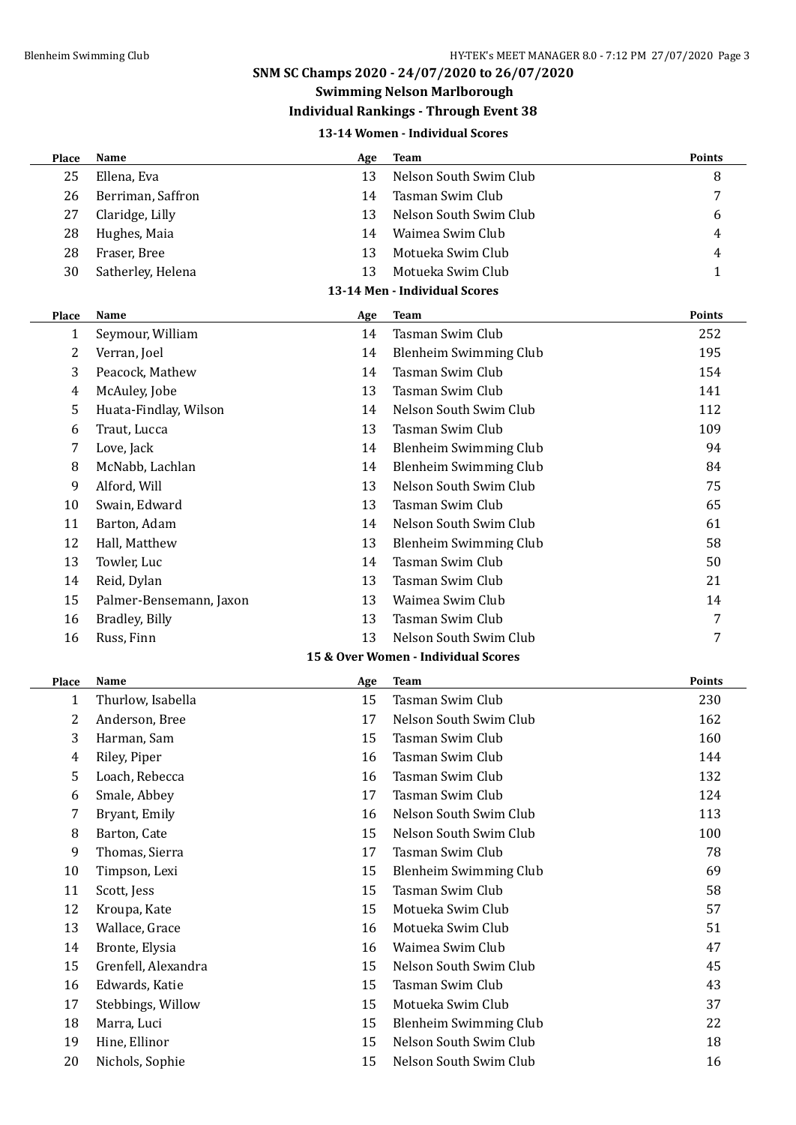# **Swimming Nelson Marlborough**

# **Individual Rankings - Through Event 38**

### **13-14 Women - Individual Scores**

| <b>Place</b> | Name                    | Age | <b>Team</b>                         | Points        |
|--------------|-------------------------|-----|-------------------------------------|---------------|
| 25           | Ellena, Eva             | 13  | Nelson South Swim Club              | 8             |
| 26           | Berriman, Saffron       | 14  | <b>Tasman Swim Club</b>             | 7             |
| 27           | Claridge, Lilly         | 13  | Nelson South Swim Club              | 6             |
| 28           | Hughes, Maia            | 14  | Waimea Swim Club                    | 4             |
| 28           | Fraser, Bree            | 13  | Motueka Swim Club                   | 4             |
| 30           | Satherley, Helena       | 13  | Motueka Swim Club                   | 1             |
|              |                         |     | 13-14 Men - Individual Scores       |               |
| Place        | Name                    | Age | <b>Team</b>                         | <b>Points</b> |
| $\mathbf{1}$ | Seymour, William        | 14  | Tasman Swim Club                    | 252           |
| 2            | Verran, Joel            | 14  | Blenheim Swimming Club              | 195           |
| 3            | Peacock, Mathew         | 14  | Tasman Swim Club                    | 154           |
| 4            | McAuley, Jobe           | 13  | Tasman Swim Club                    | 141           |
| 5            | Huata-Findlay, Wilson   | 14  | Nelson South Swim Club              | 112           |
| 6            | Traut, Lucca            | 13  | <b>Tasman Swim Club</b>             | 109           |
| 7            | Love, Jack              | 14  | <b>Blenheim Swimming Club</b>       | 94            |
| 8            | McNabb, Lachlan         | 14  | <b>Blenheim Swimming Club</b>       | 84            |
|              | Alford, Will            | 13  | Nelson South Swim Club              | 75            |
| 9<br>10      |                         | 13  | <b>Tasman Swim Club</b>             | 65            |
|              | Swain, Edward           |     |                                     |               |
| 11           | Barton, Adam            | 14  | Nelson South Swim Club              | 61            |
| 12           | Hall, Matthew           | 13  | Blenheim Swimming Club              | 58            |
| 13           | Towler, Luc             | 14  | Tasman Swim Club                    | 50            |
| 14           | Reid, Dylan             | 13  | <b>Tasman Swim Club</b>             | 21            |
| 15           | Palmer-Bensemann, Jaxon | 13  | Waimea Swim Club                    | 14            |
| 16           | Bradley, Billy          | 13  | Tasman Swim Club                    | 7             |
| 16           | Russ, Finn              | 13  | Nelson South Swim Club              | 7             |
|              |                         |     | 15 & Over Women - Individual Scores |               |
| <b>Place</b> | Name                    | Age | Team                                | <b>Points</b> |
| 1            | Thurlow, Isabella       | 15  | <b>Tasman Swim Club</b>             | 230           |
| 2            | Anderson, Bree          | 17  | Nelson South Swim Club              | 162           |
| 3            | Harman, Sam             | 15  | Tasman Swim Club                    | 160           |
| 4            | Riley, Piper            | 16  | Tasman Swim Club                    | 144           |
| 5            | Loach, Rebecca          | 16  | Tasman Swim Club                    | 132           |
| 6            | Smale, Abbey            | 17  | Tasman Swim Club                    | 124           |
| 7            | Bryant, Emily           | 16  | Nelson South Swim Club              | 113           |
| 8            | Barton, Cate            | 15  | Nelson South Swim Club              | 100           |
| 9            | Thomas, Sierra          | 17  | Tasman Swim Club                    | 78            |
| 10           | Timpson, Lexi           | 15  | Blenheim Swimming Club              | 69            |
| 11           | Scott, Jess             | 15  | Tasman Swim Club                    | 58            |
| 12           | Kroupa, Kate            | 15  | Motueka Swim Club                   | 57            |
| 13           | Wallace, Grace          | 16  | Motueka Swim Club                   | 51            |
| 14           | Bronte, Elysia          | 16  | Waimea Swim Club                    | 47            |
| 15           | Grenfell, Alexandra     | 15  | Nelson South Swim Club              | 45            |
| 16           | Edwards, Katie          | 15  | Tasman Swim Club                    | 43            |
| 17           | Stebbings, Willow       | 15  | Motueka Swim Club                   | 37            |
| 18           | Marra, Luci             | 15  | Blenheim Swimming Club              | 22            |
| 19           | Hine, Ellinor           | 15  | Nelson South Swim Club              | 18            |
| 20           | Nichols, Sophie         | 15  | Nelson South Swim Club              | 16            |